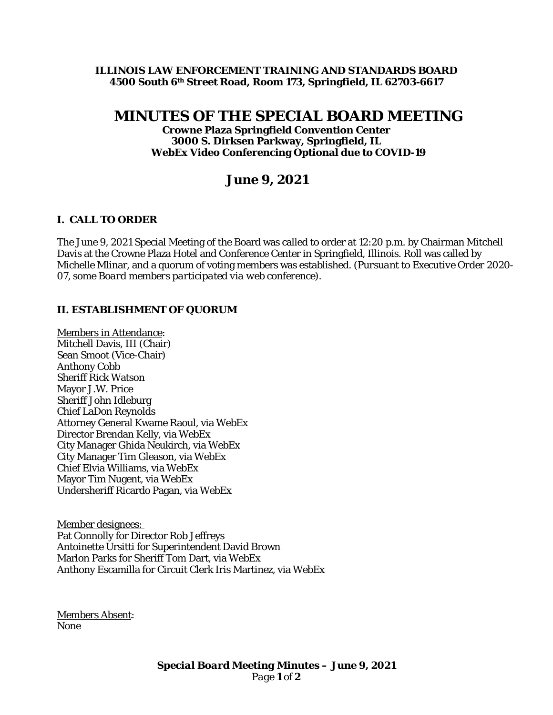### **ILLINOIS LAW ENFORCEMENT TRAINING AND STANDARDS BOARD 4500 South 6th Street Road, Room 173, Springfield, IL 62703-6617**

# **MINUTES OF THE SPECIAL BOARD MEETING**

**Crowne Plaza Springfield Convention Center 3000 S. Dirksen Parkway, Springfield, IL WebEx Video Conferencing Optional due to COVID-19**

## **June 9, 2021**

## **I. CALL TO ORDER**

The June 9, 2021 Special Meeting of the Board was called to order at 12:20 p.m. by Chairman Mitchell Davis at the Crowne Plaza Hotel and Conference Center in Springfield, Illinois. Roll was called by Michelle Mlinar, and a quorum of voting members was established. *(Pursuant to Executive Order 2020- 07, some Board members participated via web conference).* 

## **II. ESTABLISHMENT OF QUORUM**

Members in Attendance: Mitchell Davis, III (Chair) Sean Smoot (Vice-Chair) Anthony Cobb Sheriff Rick Watson Mayor J.W. Price Sheriff John Idleburg Chief LaDon Reynolds Attorney General Kwame Raoul, via WebEx Director Brendan Kelly, via WebEx City Manager Ghida Neukirch, via WebEx City Manager Tim Gleason, via WebEx Chief Elvia Williams, via WebEx Mayor Tim Nugent, via WebEx Undersheriff Ricardo Pagan, via WebEx

Member designees: Pat Connolly for Director Rob Jeffreys Antoinette Ursitti for Superintendent David Brown Marlon Parks for Sheriff Tom Dart, via WebEx Anthony Escamilla for Circuit Clerk Iris Martinez, via WebEx

Members Absent: None